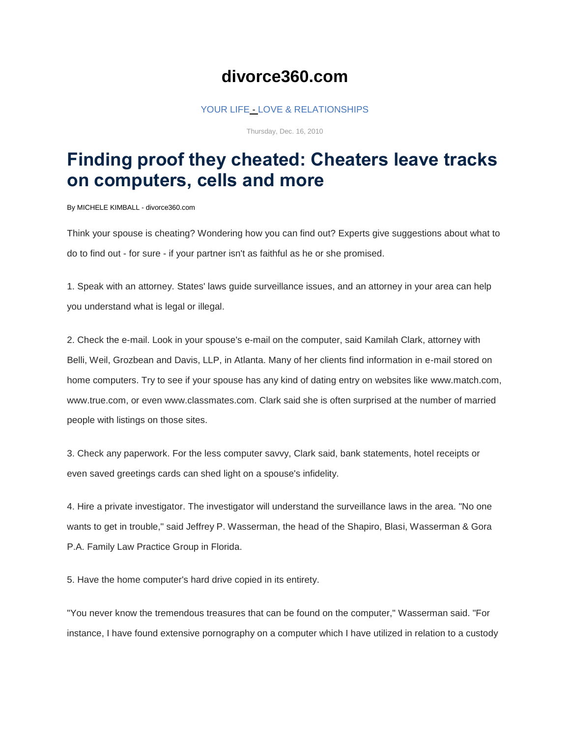## **divorce360.com**

## [YOUR LIFE](http://www.sunherald.com/living/index.html) - [LOVE & RELATIONSHIPS](http://www.sunherald.com/love/index.html)

Thursday, Dec. 16, 2010

## **Finding proof they cheated: Cheaters leave tracks on computers, cells and more**

By MICHELE KIMBALL - divorce360.com

Think your spouse is cheating? Wondering how you can find out? Experts give suggestions about what to do to find out - for sure - if your partner isn't as faithful as he or she promised.

1. Speak with an attorney. States' laws guide surveillance issues, and an attorney in your area can help you understand what is legal or illegal.

2. Check the e-mail. Look in your spouse's e-mail on the computer, said Kamilah Clark, attorney with Belli, Weil, Grozbean and Davis, LLP, in Atlanta. Many of her clients find information in e-mail stored on home computers. Try to see if your spouse has any kind of dating entry on websites like www.match.com, www.true.com, or even www.classmates.com. Clark said she is often surprised at the number of married people with listings on those sites.

3. Check any paperwork. For the less computer savvy, Clark said, bank statements, hotel receipts or even saved greetings cards can shed light on a spouse's infidelity.

4. Hire a private investigator. The investigator will understand the surveillance laws in the area. "No one wants to get in trouble," said Jeffrey P. Wasserman, the head of the Shapiro, Blasi, Wasserman & Gora P.A. Family Law Practice Group in Florida.

5. Have the home computer's hard drive copied in its entirety.

"You never know the tremendous treasures that can be found on the computer," Wasserman said. "For instance, I have found extensive pornography on a computer which I have utilized in relation to a custody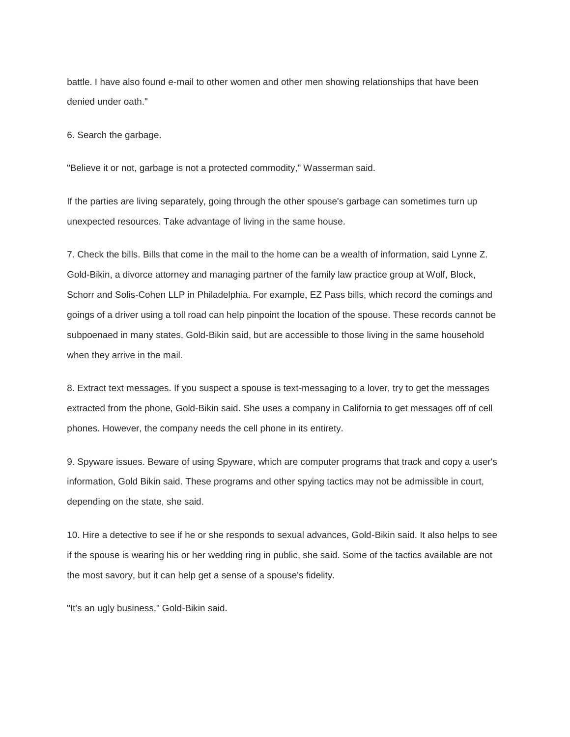battle. I have also found e-mail to other women and other men showing relationships that have been denied under oath."

6. Search the garbage.

"Believe it or not, garbage is not a protected commodity," Wasserman said.

If the parties are living separately, going through the other spouse's garbage can sometimes turn up unexpected resources. Take advantage of living in the same house.

7. Check the bills. Bills that come in the mail to the home can be a wealth of information, said Lynne Z. Gold-Bikin, a divorce attorney and managing partner of the family law practice group at Wolf, Block, Schorr and Solis-Cohen LLP in Philadelphia. For example, EZ Pass bills, which record the comings and goings of a driver using a toll road can help pinpoint the location of the spouse. These records cannot be subpoenaed in many states, Gold-Bikin said, but are accessible to those living in the same household when they arrive in the mail.

8. Extract text messages. If you suspect a spouse is text-messaging to a lover, try to get the messages extracted from the phone, Gold-Bikin said. She uses a company in California to get messages off of cell phones. However, the company needs the cell phone in its entirety.

9. Spyware issues. Beware of using Spyware, which are computer programs that track and copy a user's information, Gold Bikin said. These programs and other spying tactics may not be admissible in court, depending on the state, she said.

10. Hire a detective to see if he or she responds to sexual advances, Gold-Bikin said. It also helps to see if the spouse is wearing his or her wedding ring in public, she said. Some of the tactics available are not the most savory, but it can help get a sense of a spouse's fidelity.

"It's an ugly business," Gold-Bikin said.